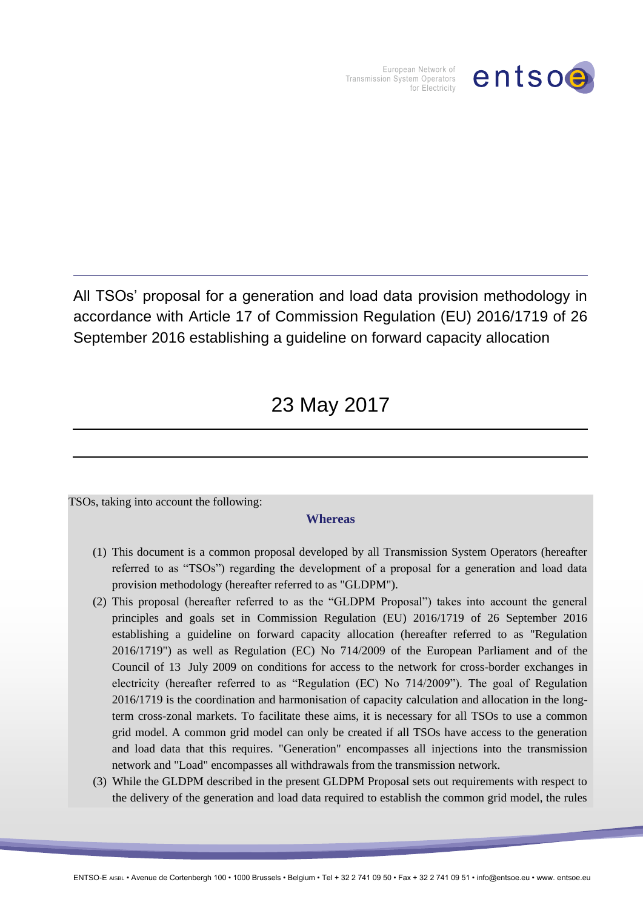

European Network of Transmission System Operators for Electricity

All TSOs' proposal for a generation and load data provision methodology in accordance with Article 17 of Commission Regulation (EU) 2016/1719 of 26 September 2016 establishing a guideline on forward capacity allocation

# 23 May 2017

TSOs, taking into account the following:

#### **Whereas**

- (1) This document is a common proposal developed by all Transmission System Operators (hereafter referred to as "TSOs") regarding the development of a proposal for a generation and load data provision methodology (hereafter referred to as "GLDPM").
- (2) This proposal (hereafter referred to as the "GLDPM Proposal") takes into account the general principles and goals set in Commission Regulation (EU) 2016/1719 of 26 September 2016 establishing a guideline on forward capacity allocation (hereafter referred to as "Regulation 2016/1719") as well as Regulation (EC) No 714/2009 of the European Parliament and of the Council of 13 July 2009 on conditions for access to the network for cross-border exchanges in electricity (hereafter referred to as "Regulation (EC) No 714/2009"). The goal of Regulation 2016/1719 is the coordination and harmonisation of capacity calculation and allocation in the longterm cross-zonal markets. To facilitate these aims, it is necessary for all TSOs to use a common grid model. A common grid model can only be created if all TSOs have access to the generation and load data that this requires. "Generation" encompasses all injections into the transmission network and "Load" encompasses all withdrawals from the transmission network.
- (3) While the GLDPM described in the present GLDPM Proposal sets out requirements with respect to the delivery of the generation and load data required to establish the common grid model, the rules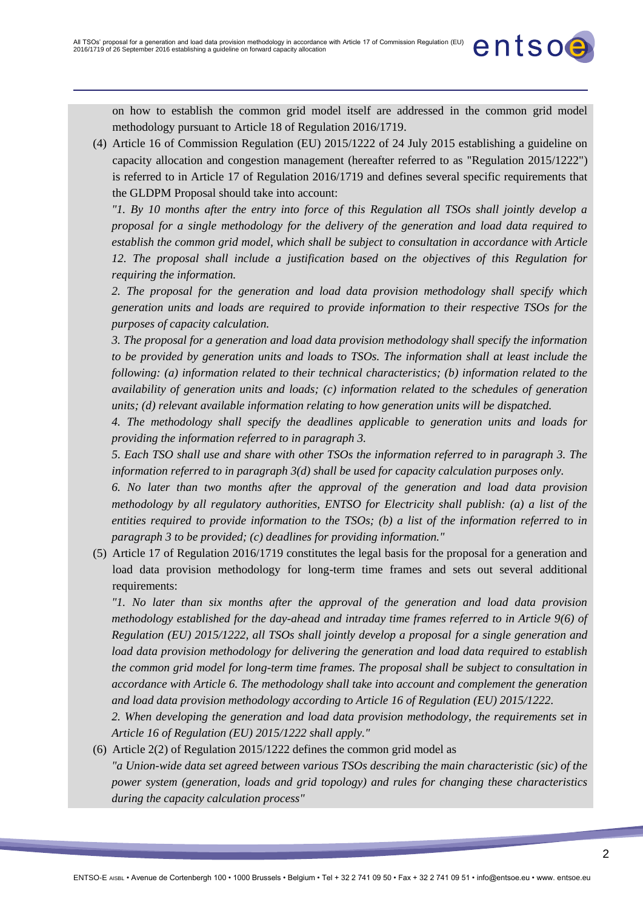on how to establish the common grid model itself are addressed in the common grid model methodology pursuant to Article 18 of Regulation 2016/1719.

entsoe

(4) Article 16 of Commission Regulation (EU) 2015/1222 of 24 July 2015 establishing a guideline on capacity allocation and congestion management (hereafter referred to as "Regulation 2015/1222") is referred to in Article 17 of Regulation 2016/1719 and defines several specific requirements that the GLDPM Proposal should take into account:

*"1. By 10 months after the entry into force of this Regulation all TSOs shall jointly develop a proposal for a single methodology for the delivery of the generation and load data required to establish the common grid model, which shall be subject to consultation in accordance with Article 12. The proposal shall include a justification based on the objectives of this Regulation for requiring the information.*

*2. The proposal for the generation and load data provision methodology shall specify which generation units and loads are required to provide information to their respective TSOs for the purposes of capacity calculation.*

*3. The proposal for a generation and load data provision methodology shall specify the information to be provided by generation units and loads to TSOs. The information shall at least include the following: (a) information related to their technical characteristics; (b) information related to the availability of generation units and loads; (c) information related to the schedules of generation units; (d) relevant available information relating to how generation units will be dispatched.*

*4. The methodology shall specify the deadlines applicable to generation units and loads for providing the information referred to in paragraph 3.*

*5. Each TSO shall use and share with other TSOs the information referred to in paragraph 3. The information referred to in paragraph 3(d) shall be used for capacity calculation purposes only.*

*6. No later than two months after the approval of the generation and load data provision methodology by all regulatory authorities, ENTSO for Electricity shall publish: (a) a list of the entities required to provide information to the TSOs; (b) a list of the information referred to in paragraph 3 to be provided; (c) deadlines for providing information."*

(5) Article 17 of Regulation 2016/1719 constitutes the legal basis for the proposal for a generation and load data provision methodology for long-term time frames and sets out several additional requirements:

*"1. No later than six months after the approval of the generation and load data provision methodology established for the day-ahead and intraday time frames referred to in Article 9(6) of Regulation (EU) 2015/1222, all TSOs shall jointly develop a proposal for a single generation and load data provision methodology for delivering the generation and load data required to establish the common grid model for long-term time frames. The proposal shall be subject to consultation in accordance with Article 6. The methodology shall take into account and complement the generation and load data provision methodology according to Article 16 of Regulation (EU) 2015/1222.* 

*2. When developing the generation and load data provision methodology, the requirements set in Article 16 of Regulation (EU) 2015/1222 shall apply."*

#### (6) Article 2(2) of Regulation 2015/1222 defines the common grid model as

*"a Union-wide data set agreed between various TSOs describing the main characteristic (sic) of the power system (generation, loads and grid topology) and rules for changing these characteristics during the capacity calculation process"*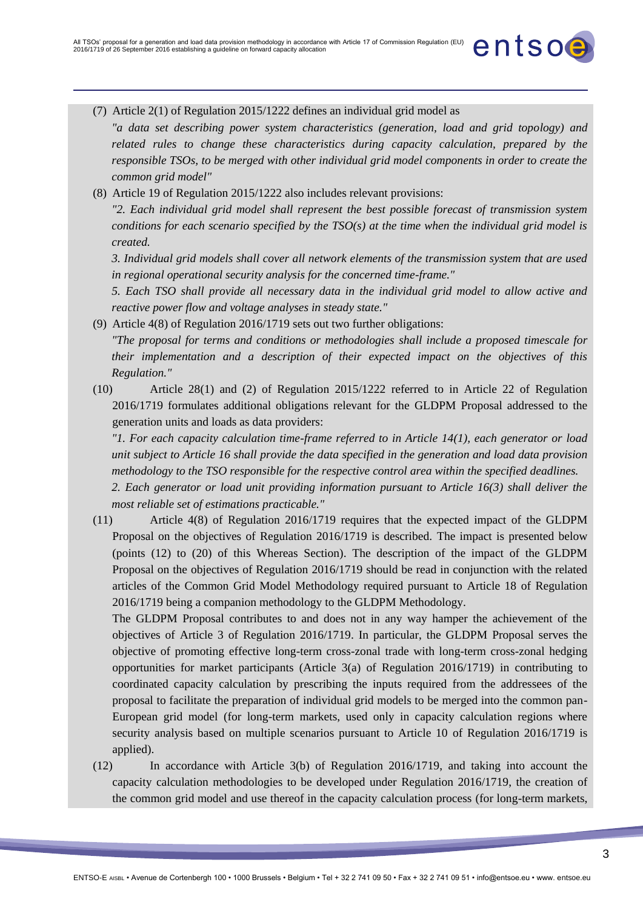

*"a data set describing power system characteristics (generation, load and grid topology) and related rules to change these characteristics during capacity calculation, prepared by the responsible TSOs, to be merged with other individual grid model components in order to create the common grid model"*

entsoe

(8) Article 19 of Regulation 2015/1222 also includes relevant provisions:

*"2. Each individual grid model shall represent the best possible forecast of transmission system conditions for each scenario specified by the TSO(s) at the time when the individual grid model is created.*

*3. Individual grid models shall cover all network elements of the transmission system that are used in regional operational security analysis for the concerned time-frame."*

*5. Each TSO shall provide all necessary data in the individual grid model to allow active and reactive power flow and voltage analyses in steady state."*

(9) Article 4(8) of Regulation 2016/1719 sets out two further obligations:

*"The proposal for terms and conditions or methodologies shall include a proposed timescale for their implementation and a description of their expected impact on the objectives of this Regulation."*

(10) Article 28(1) and (2) of Regulation 2015/1222 referred to in Article 22 of Regulation 2016/1719 formulates additional obligations relevant for the GLDPM Proposal addressed to the generation units and loads as data providers:

*"1. For each capacity calculation time-frame referred to in Article 14(1), each generator or load unit subject to Article 16 shall provide the data specified in the generation and load data provision methodology to the TSO responsible for the respective control area within the specified deadlines. 2. Each generator or load unit providing information pursuant to Article 16(3) shall deliver the* 

*most reliable set of estimations practicable."*

(11) Article 4(8) of Regulation 2016/1719 requires that the expected impact of the GLDPM Proposal on the objectives of Regulation 2016/1719 is described. The impact is presented below (points (12) to (20) of this Whereas Section). The description of the impact of the GLDPM Proposal on the objectives of Regulation 2016/1719 should be read in conjunction with the related articles of the Common Grid Model Methodology required pursuant to Article 18 of Regulation 2016/1719 being a companion methodology to the GLDPM Methodology.

The GLDPM Proposal contributes to and does not in any way hamper the achievement of the objectives of Article 3 of Regulation 2016/1719. In particular, the GLDPM Proposal serves the objective of promoting effective long-term cross-zonal trade with long-term cross-zonal hedging opportunities for market participants (Article 3(a) of Regulation 2016/1719) in contributing to coordinated capacity calculation by prescribing the inputs required from the addressees of the proposal to facilitate the preparation of individual grid models to be merged into the common pan-European grid model (for long-term markets, used only in capacity calculation regions where security analysis based on multiple scenarios pursuant to Article 10 of Regulation 2016/1719 is applied).

(12) In accordance with Article 3(b) of Regulation 2016/1719, and taking into account the capacity calculation methodologies to be developed under Regulation 2016/1719, the creation of the common grid model and use thereof in the capacity calculation process (for long-term markets,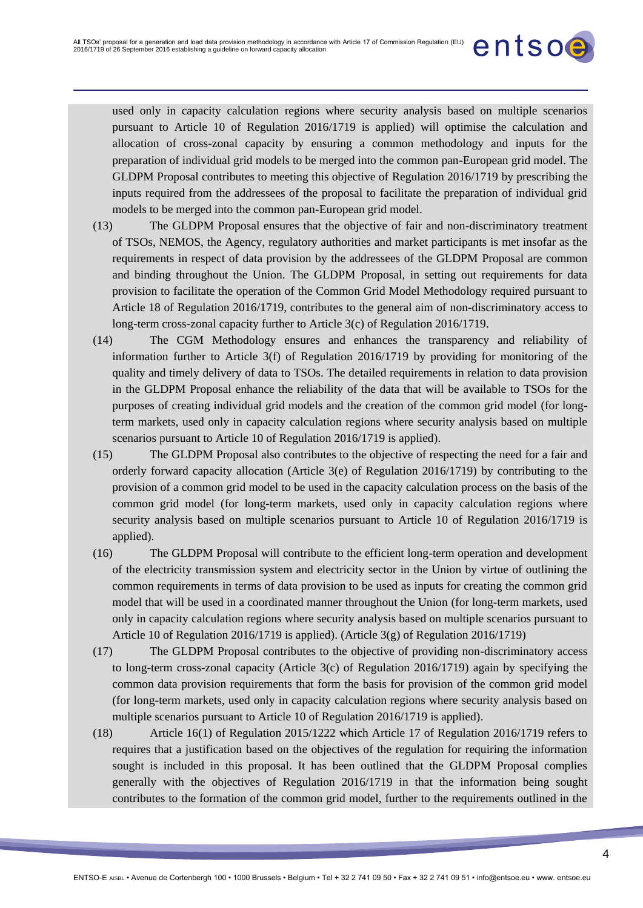used only in capacity calculation regions where security analysis based on multiple scenarios pursuant to Article 10 of Regulation 2016/1719 is applied) will optimise the calculation and allocation of cross-zonal capacity by ensuring a common methodology and inputs for the preparation of individual grid models to be merged into the common pan-European grid model. The GLDPM Proposal contributes to meeting this objective of Regulation 2016/1719 by prescribing the inputs required from the addressees of the proposal to facilitate the preparation of individual grid models to be merged into the common pan-European grid model.

entsoe

- (13) The GLDPM Proposal ensures that the objective of fair and non-discriminatory treatment of TSOs, NEMOS, the Agency, regulatory authorities and market participants is met insofar as the requirements in respect of data provision by the addressees of the GLDPM Proposal are common and binding throughout the Union. The GLDPM Proposal, in setting out requirements for data provision to facilitate the operation of the Common Grid Model Methodology required pursuant to Article 18 of Regulation 2016/1719, contributes to the general aim of non-discriminatory access to long-term cross-zonal capacity further to Article 3(c) of Regulation 2016/1719.
- (14) The CGM Methodology ensures and enhances the transparency and reliability of information further to Article 3(f) of Regulation 2016/1719 by providing for monitoring of the quality and timely delivery of data to TSOs. The detailed requirements in relation to data provision in the GLDPM Proposal enhance the reliability of the data that will be available to TSOs for the purposes of creating individual grid models and the creation of the common grid model (for longterm markets, used only in capacity calculation regions where security analysis based on multiple scenarios pursuant to Article 10 of Regulation 2016/1719 is applied).
- (15) The GLDPM Proposal also contributes to the objective of respecting the need for a fair and orderly forward capacity allocation (Article 3(e) of Regulation 2016/1719) by contributing to the provision of a common grid model to be used in the capacity calculation process on the basis of the common grid model (for long-term markets, used only in capacity calculation regions where security analysis based on multiple scenarios pursuant to Article 10 of Regulation 2016/1719 is applied).
- (16) The GLDPM Proposal will contribute to the efficient long-term operation and development of the electricity transmission system and electricity sector in the Union by virtue of outlining the common requirements in terms of data provision to be used as inputs for creating the common grid model that will be used in a coordinated manner throughout the Union (for long-term markets, used only in capacity calculation regions where security analysis based on multiple scenarios pursuant to Article 10 of Regulation 2016/1719 is applied). (Article  $3(g)$  of Regulation 2016/1719)
- (17) The GLDPM Proposal contributes to the objective of providing non-discriminatory access to long-term cross-zonal capacity (Article 3(c) of Regulation 2016/1719) again by specifying the common data provision requirements that form the basis for provision of the common grid model (for long-term markets, used only in capacity calculation regions where security analysis based on multiple scenarios pursuant to Article 10 of Regulation 2016/1719 is applied).
- (18) Article 16(1) of Regulation 2015/1222 which Article 17 of Regulation 2016/1719 refers to requires that a justification based on the objectives of the regulation for requiring the information sought is included in this proposal. It has been outlined that the GLDPM Proposal complies generally with the objectives of Regulation 2016/1719 in that the information being sought contributes to the formation of the common grid model, further to the requirements outlined in the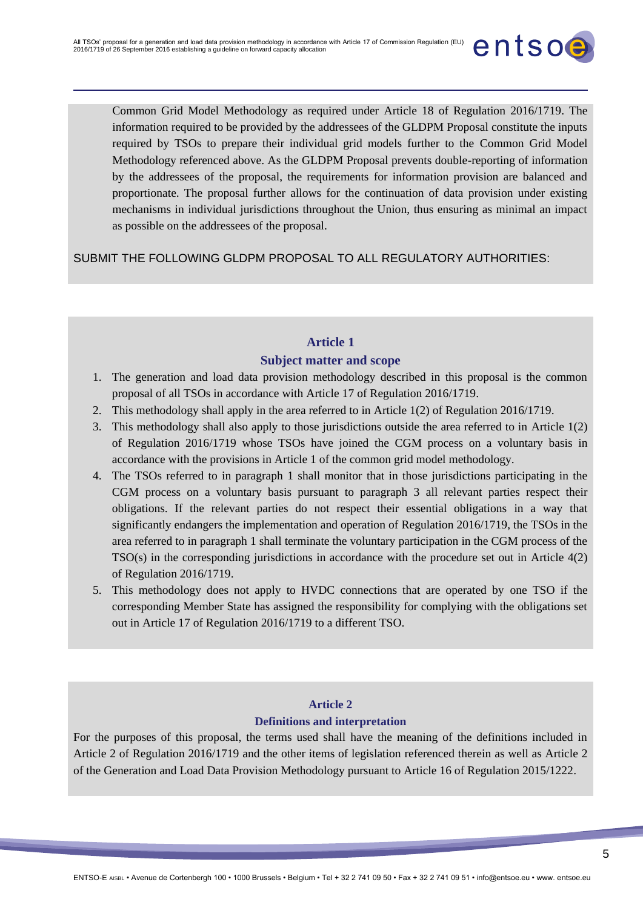

Common Grid Model Methodology as required under Article 18 of Regulation 2016/1719. The information required to be provided by the addressees of the GLDPM Proposal constitute the inputs required by TSOs to prepare their individual grid models further to the Common Grid Model Methodology referenced above. As the GLDPM Proposal prevents double-reporting of information by the addressees of the proposal, the requirements for information provision are balanced and proportionate. The proposal further allows for the continuation of data provision under existing mechanisms in individual jurisdictions throughout the Union, thus ensuring as minimal an impact as possible on the addressees of the proposal.

SUBMIT THE FOLLOWING GLDPM PROPOSAL TO ALL REGULATORY AUTHORITIES:

# **Article 1 Subject matter and scope**

- 1. The generation and load data provision methodology described in this proposal is the common proposal of all TSOs in accordance with Article 17 of Regulation 2016/1719.
- 2. This methodology shall apply in the area referred to in Article 1(2) of Regulation 2016/1719.
- 3. This methodology shall also apply to those jurisdictions outside the area referred to in Article 1(2) of Regulation 2016/1719 whose TSOs have joined the CGM process on a voluntary basis in accordance with the provisions in Article 1 of the common grid model methodology.
- 4. The TSOs referred to in paragraph 1 shall monitor that in those jurisdictions participating in the CGM process on a voluntary basis pursuant to paragraph 3 all relevant parties respect their obligations. If the relevant parties do not respect their essential obligations in a way that significantly endangers the implementation and operation of Regulation 2016/1719, the TSOs in the area referred to in paragraph 1 shall terminate the voluntary participation in the CGM process of the TSO(s) in the corresponding jurisdictions in accordance with the procedure set out in Article 4(2) of Regulation 2016/1719.
- 5. This methodology does not apply to HVDC connections that are operated by one TSO if the corresponding Member State has assigned the responsibility for complying with the obligations set out in Article 17 of Regulation 2016/1719 to a different TSO.

## **Article 2 Definitions and interpretation**

For the purposes of this proposal, the terms used shall have the meaning of the definitions included in Article 2 of Regulation 2016/1719 and the other items of legislation referenced therein as well as Article 2 of the Generation and Load Data Provision Methodology pursuant to Article 16 of Regulation 2015/1222.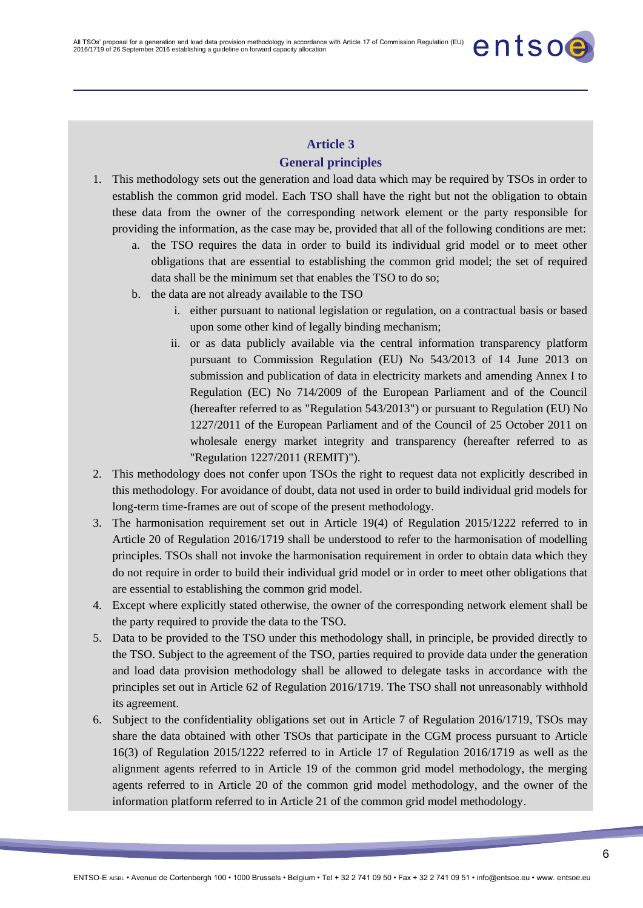#### **Article 3 General principles**

- 1. This methodology sets out the generation and load data which may be required by TSOs in order to establish the common grid model. Each TSO shall have the right but not the obligation to obtain these data from the owner of the corresponding network element or the party responsible for providing the information, as the case may be, provided that all of the following conditions are met:
	- a. the TSO requires the data in order to build its individual grid model or to meet other obligations that are essential to establishing the common grid model; the set of required data shall be the minimum set that enables the TSO to do so;
	- b. the data are not already available to the TSO
		- i. either pursuant to national legislation or regulation, on a contractual basis or based upon some other kind of legally binding mechanism;

entsoe

- ii. or as data publicly available via the central information transparency platform pursuant to Commission Regulation (EU) No 543/2013 of 14 June 2013 on submission and publication of data in electricity markets and amending Annex I to Regulation (EC) No 714/2009 of the European Parliament and of the Council (hereafter referred to as "Regulation 543/2013") or pursuant to Regulation (EU) No 1227/2011 of the European Parliament and of the Council of 25 October 2011 on wholesale energy market integrity and transparency (hereafter referred to as "Regulation 1227/2011 (REMIT)").
- 2. This methodology does not confer upon TSOs the right to request data not explicitly described in this methodology. For avoidance of doubt, data not used in order to build individual grid models for long-term time-frames are out of scope of the present methodology.
- 3. The harmonisation requirement set out in Article 19(4) of Regulation 2015/1222 referred to in Article 20 of Regulation 2016/1719 shall be understood to refer to the harmonisation of modelling principles. TSOs shall not invoke the harmonisation requirement in order to obtain data which they do not require in order to build their individual grid model or in order to meet other obligations that are essential to establishing the common grid model.
- 4. Except where explicitly stated otherwise, the owner of the corresponding network element shall be the party required to provide the data to the TSO.
- 5. Data to be provided to the TSO under this methodology shall, in principle, be provided directly to the TSO. Subject to the agreement of the TSO, parties required to provide data under the generation and load data provision methodology shall be allowed to delegate tasks in accordance with the principles set out in Article 62 of Regulation 2016/1719. The TSO shall not unreasonably withhold its agreement.
- 6. Subject to the confidentiality obligations set out in Article 7 of Regulation 2016/1719, TSOs may share the data obtained with other TSOs that participate in the CGM process pursuant to Article 16(3) of Regulation 2015/1222 referred to in Article 17 of Regulation 2016/1719 as well as the alignment agents referred to in Article 19 of the common grid model methodology, the merging agents referred to in Article 20 of the common grid model methodology, and the owner of the information platform referred to in Article 21 of the common grid model methodology.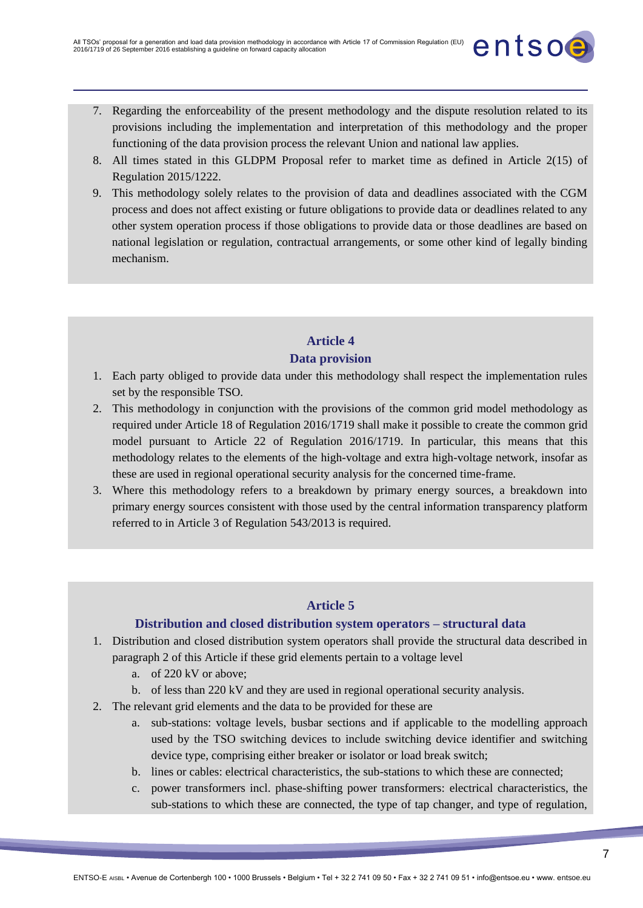

entsoe

- 8. All times stated in this GLDPM Proposal refer to market time as defined in Article 2(15) of Regulation 2015/1222.
- 9. This methodology solely relates to the provision of data and deadlines associated with the CGM process and does not affect existing or future obligations to provide data or deadlines related to any other system operation process if those obligations to provide data or those deadlines are based on national legislation or regulation, contractual arrangements, or some other kind of legally binding mechanism.

# **Article 4**

## **Data provision**

- 1. Each party obliged to provide data under this methodology shall respect the implementation rules set by the responsible TSO.
- 2. This methodology in conjunction with the provisions of the common grid model methodology as required under Article 18 of Regulation 2016/1719 shall make it possible to create the common grid model pursuant to Article 22 of Regulation 2016/1719. In particular, this means that this methodology relates to the elements of the high-voltage and extra high-voltage network, insofar as these are used in regional operational security analysis for the concerned time-frame.
- 3. Where this methodology refers to a breakdown by primary energy sources, a breakdown into primary energy sources consistent with those used by the central information transparency platform referred to in Article 3 of Regulation 543/2013 is required.

#### **Article 5**

## **Distribution and closed distribution system operators – structural data**

- 1. Distribution and closed distribution system operators shall provide the structural data described in paragraph 2 of this Article if these grid elements pertain to a voltage level
	- a. of 220 kV or above;
	- b. of less than 220 kV and they are used in regional operational security analysis.
- 2. The relevant grid elements and the data to be provided for these are
	- a. sub-stations: voltage levels, busbar sections and if applicable to the modelling approach used by the TSO switching devices to include switching device identifier and switching device type, comprising either breaker or isolator or load break switch;
	- b. lines or cables: electrical characteristics, the sub-stations to which these are connected;
	- c. power transformers incl. phase-shifting power transformers: electrical characteristics, the sub-stations to which these are connected, the type of tap changer, and type of regulation,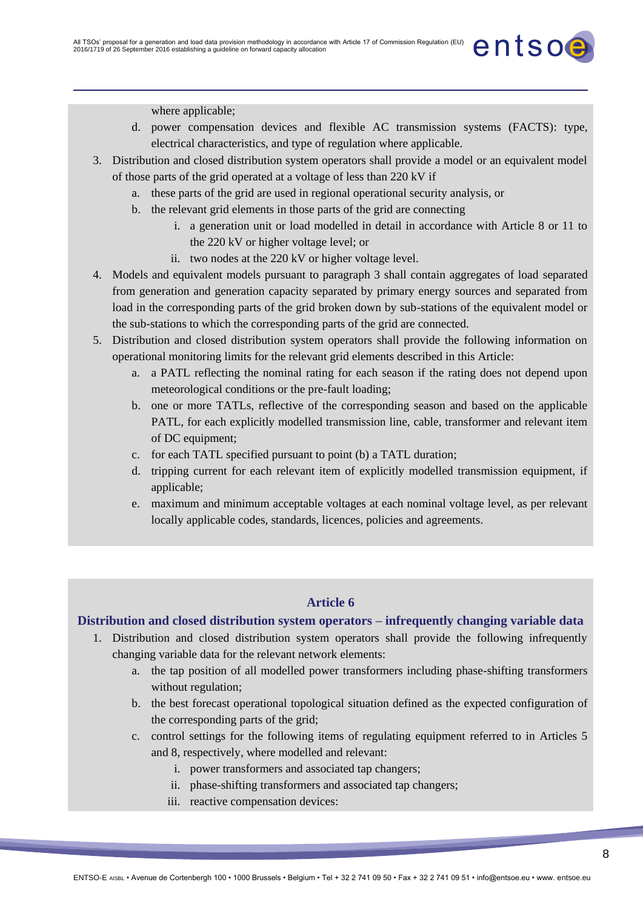

where applicable;

- d. power compensation devices and flexible AC transmission systems (FACTS): type, electrical characteristics, and type of regulation where applicable.
- 3. Distribution and closed distribution system operators shall provide a model or an equivalent model of those parts of the grid operated at a voltage of less than 220 kV if
	- a. these parts of the grid are used in regional operational security analysis, or
	- b. the relevant grid elements in those parts of the grid are connecting
		- i. a generation unit or load modelled in detail in accordance with Article 8 or 11 to the 220 kV or higher voltage level; or
		- ii. two nodes at the 220 kV or higher voltage level.
- 4. Models and equivalent models pursuant to paragraph 3 shall contain aggregates of load separated from generation and generation capacity separated by primary energy sources and separated from load in the corresponding parts of the grid broken down by sub-stations of the equivalent model or the sub-stations to which the corresponding parts of the grid are connected.
- 5. Distribution and closed distribution system operators shall provide the following information on operational monitoring limits for the relevant grid elements described in this Article:
	- a. a PATL reflecting the nominal rating for each season if the rating does not depend upon meteorological conditions or the pre-fault loading;
	- b. one or more TATLs, reflective of the corresponding season and based on the applicable PATL, for each explicitly modelled transmission line, cable, transformer and relevant item of DC equipment;
	- c. for each TATL specified pursuant to point (b) a TATL duration;
	- d. tripping current for each relevant item of explicitly modelled transmission equipment, if applicable;
	- e. maximum and minimum acceptable voltages at each nominal voltage level, as per relevant locally applicable codes, standards, licences, policies and agreements.

## **Article 6**

## **Distribution and closed distribution system operators – infrequently changing variable data**

- 1. Distribution and closed distribution system operators shall provide the following infrequently changing variable data for the relevant network elements:
	- a. the tap position of all modelled power transformers including phase-shifting transformers without regulation;
	- b. the best forecast operational topological situation defined as the expected configuration of the corresponding parts of the grid;
	- c. control settings for the following items of regulating equipment referred to in Articles 5 and 8, respectively, where modelled and relevant:
		- i. power transformers and associated tap changers;
		- ii. phase-shifting transformers and associated tap changers;
		- iii. reactive compensation devices: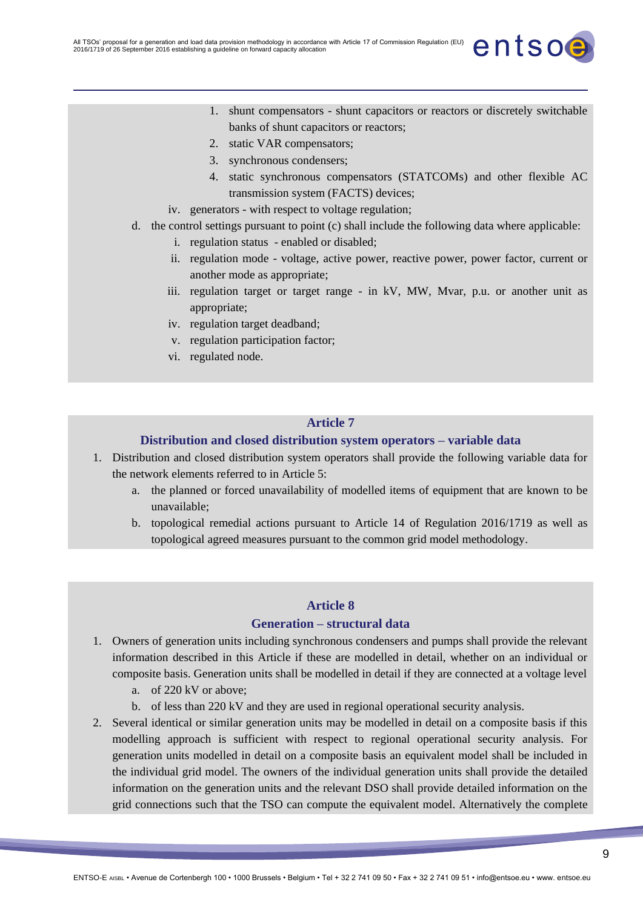

- 1. shunt compensators shunt capacitors or reactors or discretely switchable banks of shunt capacitors or reactors;
- 2. static VAR compensators;
- 3. synchronous condensers;
- 4. static synchronous compensators (STATCOMs) and other flexible AC transmission system (FACTS) devices;
- iv. generators with respect to voltage regulation;
- d. the control settings pursuant to point (c) shall include the following data where applicable:
	- i. regulation status enabled or disabled;
	- ii. regulation mode voltage, active power, reactive power, power factor, current or another mode as appropriate;
	- iii. regulation target or target range in kV, MW, Mvar, p.u. or another unit as appropriate;
	- iv. regulation target deadband;
	- v. regulation participation factor;
	- vi. regulated node.

#### **Article 7**

#### **Distribution and closed distribution system operators – variable data**

- 1. Distribution and closed distribution system operators shall provide the following variable data for the network elements referred to in Article 5:
	- a. the planned or forced unavailability of modelled items of equipment that are known to be unavailable;
	- b. topological remedial actions pursuant to Article 14 of Regulation 2016/1719 as well as topological agreed measures pursuant to the common grid model methodology.

#### **Article 8**

#### **Generation – structural data**

- 1. Owners of generation units including synchronous condensers and pumps shall provide the relevant information described in this Article if these are modelled in detail, whether on an individual or composite basis. Generation units shall be modelled in detail if they are connected at a voltage level
	- a. of 220 kV or above;
	- b. of less than 220 kV and they are used in regional operational security analysis.
- 2. Several identical or similar generation units may be modelled in detail on a composite basis if this modelling approach is sufficient with respect to regional operational security analysis. For generation units modelled in detail on a composite basis an equivalent model shall be included in the individual grid model. The owners of the individual generation units shall provide the detailed information on the generation units and the relevant DSO shall provide detailed information on the grid connections such that the TSO can compute the equivalent model. Alternatively the complete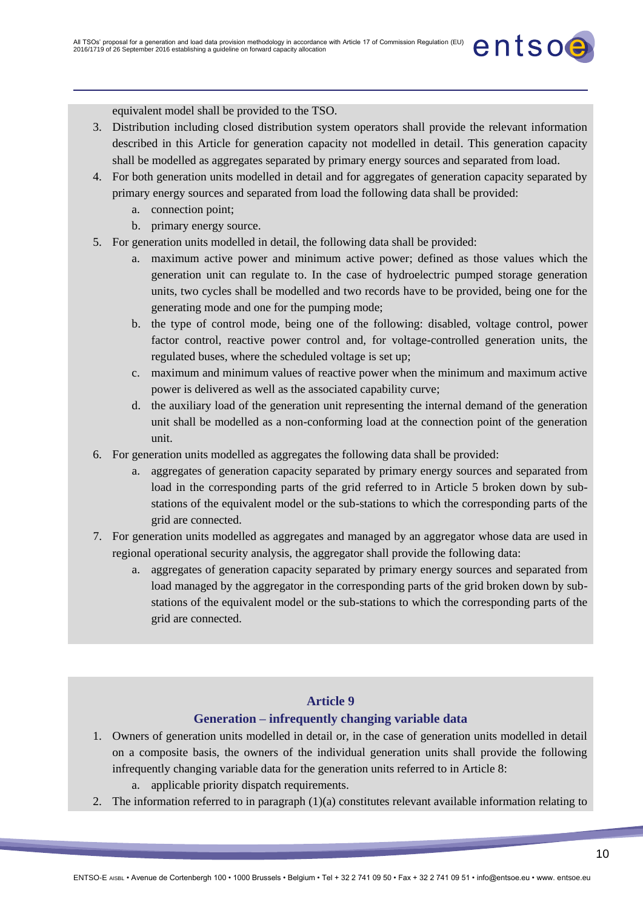

3. Distribution including closed distribution system operators shall provide the relevant information described in this Article for generation capacity not modelled in detail. This generation capacity shall be modelled as aggregates separated by primary energy sources and separated from load.

entsoe

- 4. For both generation units modelled in detail and for aggregates of generation capacity separated by primary energy sources and separated from load the following data shall be provided:
	- a. connection point;
	- b. primary energy source.
- 5. For generation units modelled in detail, the following data shall be provided:
	- a. maximum active power and minimum active power; defined as those values which the generation unit can regulate to. In the case of hydroelectric pumped storage generation units, two cycles shall be modelled and two records have to be provided, being one for the generating mode and one for the pumping mode;
	- b. the type of control mode, being one of the following: disabled, voltage control, power factor control, reactive power control and, for voltage-controlled generation units, the regulated buses, where the scheduled voltage is set up;
	- c. maximum and minimum values of reactive power when the minimum and maximum active power is delivered as well as the associated capability curve;
	- d. the auxiliary load of the generation unit representing the internal demand of the generation unit shall be modelled as a non-conforming load at the connection point of the generation unit.
- 6. For generation units modelled as aggregates the following data shall be provided:
	- a. aggregates of generation capacity separated by primary energy sources and separated from load in the corresponding parts of the grid referred to in Article 5 broken down by substations of the equivalent model or the sub-stations to which the corresponding parts of the grid are connected.
- 7. For generation units modelled as aggregates and managed by an aggregator whose data are used in regional operational security analysis, the aggregator shall provide the following data:
	- a. aggregates of generation capacity separated by primary energy sources and separated from load managed by the aggregator in the corresponding parts of the grid broken down by substations of the equivalent model or the sub-stations to which the corresponding parts of the grid are connected.

#### **Article 9**

#### **Generation – infrequently changing variable data**

- 1. Owners of generation units modelled in detail or, in the case of generation units modelled in detail on a composite basis, the owners of the individual generation units shall provide the following infrequently changing variable data for the generation units referred to in Article 8:
	- a. applicable priority dispatch requirements.
- 2. The information referred to in paragraph (1)(a) constitutes relevant available information relating to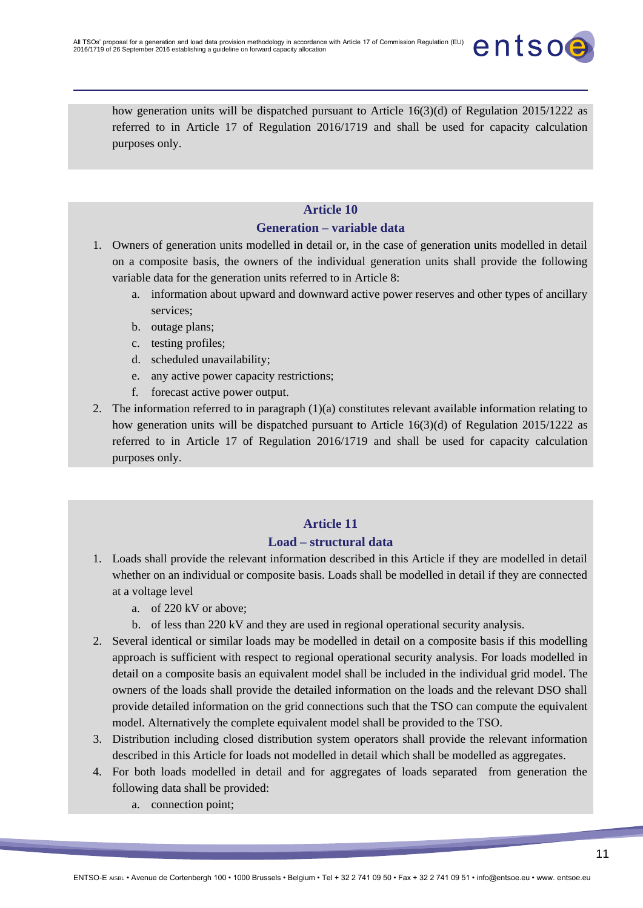

how generation units will be dispatched pursuant to Article 16(3)(d) of Regulation 2015/1222 as referred to in Article 17 of Regulation 2016/1719 and shall be used for capacity calculation purposes only.

#### **Article 10**

#### **Generation – variable data**

- 1. Owners of generation units modelled in detail or, in the case of generation units modelled in detail on a composite basis, the owners of the individual generation units shall provide the following variable data for the generation units referred to in Article 8:
	- a. information about upward and downward active power reserves and other types of ancillary services;
	- b. outage plans;
	- c. testing profiles;
	- d. scheduled unavailability;
	- e. any active power capacity restrictions;
	- f. forecast active power output.
- 2. The information referred to in paragraph (1)(a) constitutes relevant available information relating to how generation units will be dispatched pursuant to Article 16(3)(d) of Regulation 2015/1222 as referred to in Article 17 of Regulation 2016/1719 and shall be used for capacity calculation purposes only.

# **Article 11**

#### **Load – structural data**

- 1. Loads shall provide the relevant information described in this Article if they are modelled in detail whether on an individual or composite basis. Loads shall be modelled in detail if they are connected at a voltage level
	- a. of 220 kV or above;
	- b. of less than 220 kV and they are used in regional operational security analysis.
- 2. Several identical or similar loads may be modelled in detail on a composite basis if this modelling approach is sufficient with respect to regional operational security analysis. For loads modelled in detail on a composite basis an equivalent model shall be included in the individual grid model. The owners of the loads shall provide the detailed information on the loads and the relevant DSO shall provide detailed information on the grid connections such that the TSO can compute the equivalent model. Alternatively the complete equivalent model shall be provided to the TSO.
- 3. Distribution including closed distribution system operators shall provide the relevant information described in this Article for loads not modelled in detail which shall be modelled as aggregates.
- 4. For both loads modelled in detail and for aggregates of loads separated from generation the following data shall be provided:
	- a. connection point;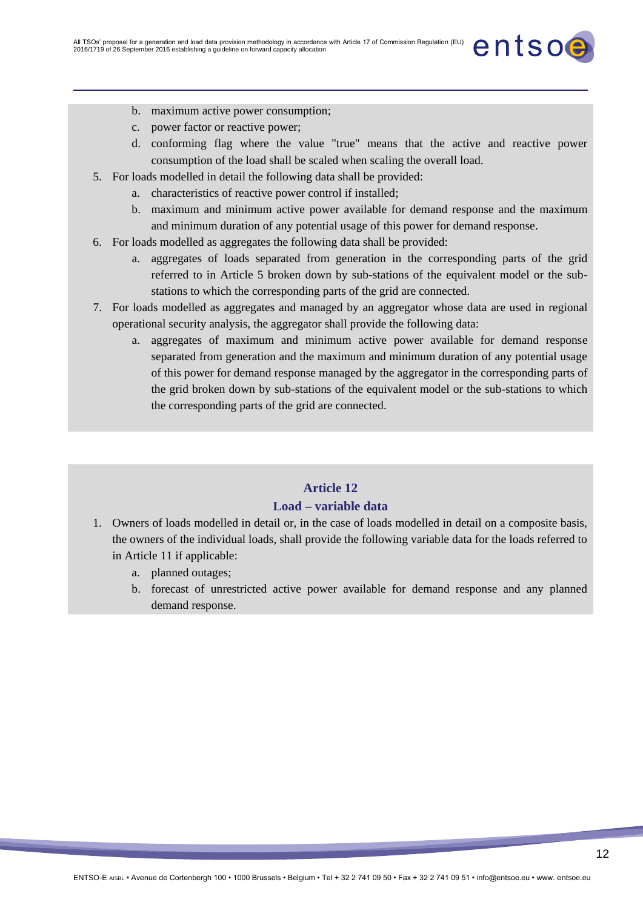

- b. maximum active power consumption;
- c. power factor or reactive power;
- d. conforming flag where the value "true" means that the active and reactive power consumption of the load shall be scaled when scaling the overall load.
- 5. For loads modelled in detail the following data shall be provided:
	- a. characteristics of reactive power control if installed;
	- b. maximum and minimum active power available for demand response and the maximum and minimum duration of any potential usage of this power for demand response.
- 6. For loads modelled as aggregates the following data shall be provided:
	- a. aggregates of loads separated from generation in the corresponding parts of the grid referred to in Article 5 broken down by sub-stations of the equivalent model or the substations to which the corresponding parts of the grid are connected.
- 7. For loads modelled as aggregates and managed by an aggregator whose data are used in regional operational security analysis, the aggregator shall provide the following data:
	- a. aggregates of maximum and minimum active power available for demand response separated from generation and the maximum and minimum duration of any potential usage of this power for demand response managed by the aggregator in the corresponding parts of the grid broken down by sub-stations of the equivalent model or the sub-stations to which the corresponding parts of the grid are connected.

## **Article 12 Load – variable data**

- 1. Owners of loads modelled in detail or, in the case of loads modelled in detail on a composite basis, the owners of the individual loads, shall provide the following variable data for the loads referred to in Article 11 if applicable:
	- a. planned outages;
	- b. forecast of unrestricted active power available for demand response and any planned demand response.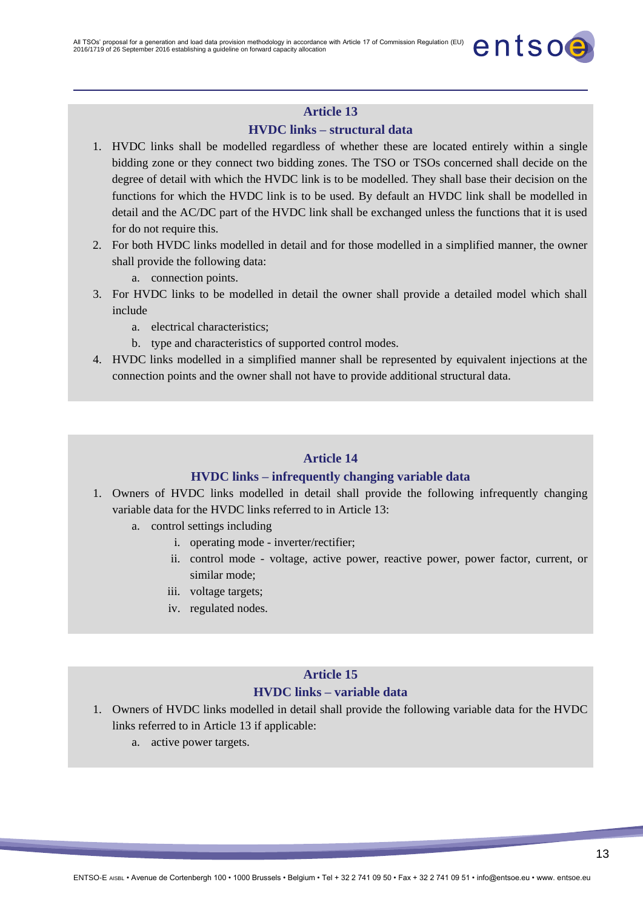

entsoe

#### **HVDC links – structural data**

- 1. HVDC links shall be modelled regardless of whether these are located entirely within a single bidding zone or they connect two bidding zones. The TSO or TSOs concerned shall decide on the degree of detail with which the HVDC link is to be modelled. They shall base their decision on the functions for which the HVDC link is to be used. By default an HVDC link shall be modelled in detail and the AC/DC part of the HVDC link shall be exchanged unless the functions that it is used for do not require this.
- 2. For both HVDC links modelled in detail and for those modelled in a simplified manner, the owner shall provide the following data:
	- a. connection points.
- 3. For HVDC links to be modelled in detail the owner shall provide a detailed model which shall include
	- a. electrical characteristics;
	- b. type and characteristics of supported control modes.
- 4. HVDC links modelled in a simplified manner shall be represented by equivalent injections at the connection points and the owner shall not have to provide additional structural data.

#### **Article 14**

#### **HVDC links – infrequently changing variable data**

- 1. Owners of HVDC links modelled in detail shall provide the following infrequently changing variable data for the HVDC links referred to in Article 13:
	- a. control settings including
		- i. operating mode inverter/rectifier;
		- ii. control mode voltage, active power, reactive power, power factor, current, or similar mode;
		- iii. voltage targets;
		- iv. regulated nodes.

## **Article 15**

#### **HVDC links – variable data**

- 1. Owners of HVDC links modelled in detail shall provide the following variable data for the HVDC links referred to in Article 13 if applicable:
	- a. active power targets.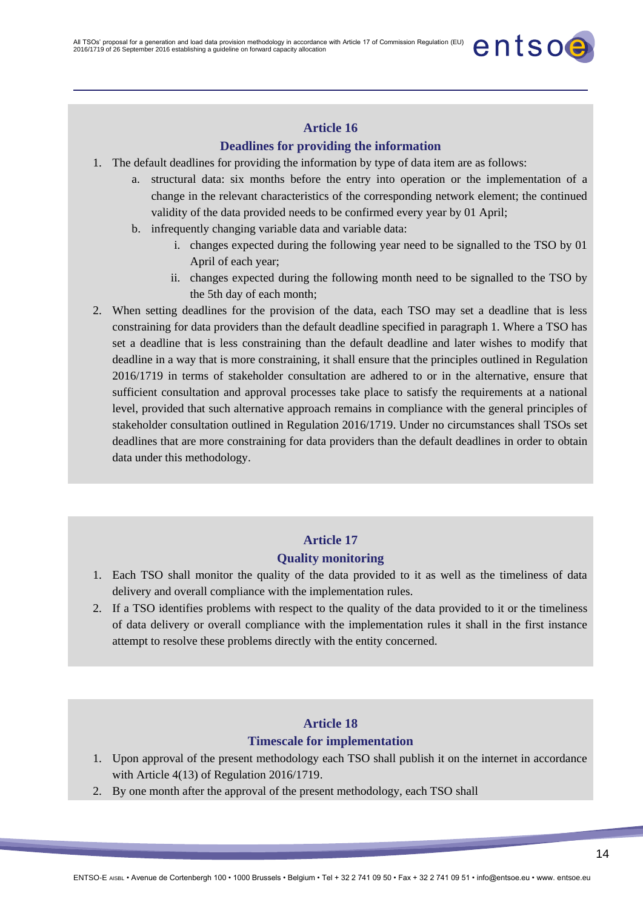## **Article 16 Deadlines for providing the information**

- 1. The default deadlines for providing the information by type of data item are as follows:
	- a. structural data: six months before the entry into operation or the implementation of a change in the relevant characteristics of the corresponding network element; the continued validity of the data provided needs to be confirmed every year by 01 April;
	- b. infrequently changing variable data and variable data:
		- i. changes expected during the following year need to be signalled to the TSO by 01 April of each year;

entsoe

- ii. changes expected during the following month need to be signalled to the TSO by the 5th day of each month;
- 2. When setting deadlines for the provision of the data, each TSO may set a deadline that is less constraining for data providers than the default deadline specified in paragraph 1. Where a TSO has set a deadline that is less constraining than the default deadline and later wishes to modify that deadline in a way that is more constraining, it shall ensure that the principles outlined in Regulation 2016/1719 in terms of stakeholder consultation are adhered to or in the alternative, ensure that sufficient consultation and approval processes take place to satisfy the requirements at a national level, provided that such alternative approach remains in compliance with the general principles of stakeholder consultation outlined in Regulation 2016/1719. Under no circumstances shall TSOs set deadlines that are more constraining for data providers than the default deadlines in order to obtain data under this methodology.

## **Article 17**

#### **Quality monitoring**

- 1. Each TSO shall monitor the quality of the data provided to it as well as the timeliness of data delivery and overall compliance with the implementation rules.
- 2. If a TSO identifies problems with respect to the quality of the data provided to it or the timeliness of data delivery or overall compliance with the implementation rules it shall in the first instance attempt to resolve these problems directly with the entity concerned.

## **Article 18**

#### **Timescale for implementation**

- 1. Upon approval of the present methodology each TSO shall publish it on the internet in accordance with Article 4(13) of Regulation 2016/1719.
- 2. By one month after the approval of the present methodology, each TSO shall